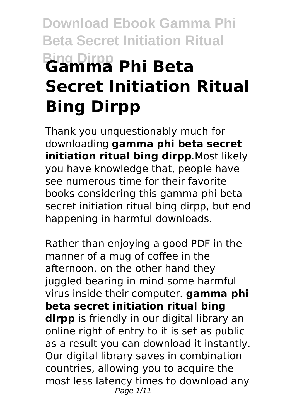# **Download Ebook Gamma Phi Beta Secret Initiation Ritual Bing Dirpp Gamma Phi Beta Secret Initiation Ritual Bing Dirpp**

Thank you unquestionably much for downloading **gamma phi beta secret initiation ritual bing dirpp**.Most likely you have knowledge that, people have see numerous time for their favorite books considering this gamma phi beta secret initiation ritual bing dirpp, but end happening in harmful downloads.

Rather than enjoying a good PDF in the manner of a mug of coffee in the afternoon, on the other hand they juggled bearing in mind some harmful virus inside their computer. **gamma phi beta secret initiation ritual bing dirpp** is friendly in our digital library an online right of entry to it is set as public as a result you can download it instantly. Our digital library saves in combination countries, allowing you to acquire the most less latency times to download any Page 1/11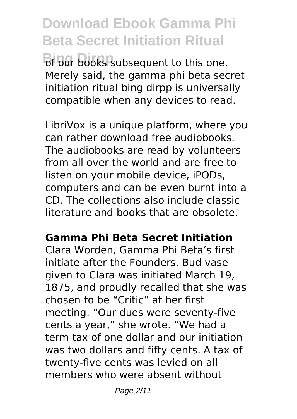**Download Ebook Gamma Phi Beta Secret Initiation Ritual** of our books subsequent to this one. Merely said, the gamma phi beta secret initiation ritual bing dirpp is universally compatible when any devices to read.

LibriVox is a unique platform, where you can rather download free audiobooks. The audiobooks are read by volunteers from all over the world and are free to listen on your mobile device, iPODs, computers and can be even burnt into a CD. The collections also include classic literature and books that are obsolete.

## **Gamma Phi Beta Secret Initiation**

Clara Worden, Gamma Phi Beta's first initiate after the Founders, Bud vase given to Clara was initiated March 19, 1875, and proudly recalled that she was chosen to be "Critic" at her first meeting. "Our dues were seventy-five cents a year," she wrote. "We had a term tax of one dollar and our initiation was two dollars and fifty cents. A tax of twenty-five cents was levied on all members who were absent without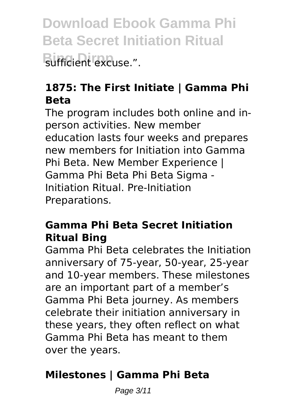**Download Ebook Gamma Phi Beta Secret Initiation Ritual Bufficient excuse.".** 

## **1875: The First Initiate | Gamma Phi Beta**

The program includes both online and inperson activities. New member education lasts four weeks and prepares new members for Initiation into Gamma Phi Beta. New Member Experience | Gamma Phi Beta Phi Beta Sigma - Initiation Ritual. Pre-Initiation Preparations.

## **Gamma Phi Beta Secret Initiation Ritual Bing**

Gamma Phi Beta celebrates the Initiation anniversary of 75-year, 50-year, 25-year and 10-year members. These milestones are an important part of a member's Gamma Phi Beta journey. As members celebrate their initiation anniversary in these years, they often reflect on what Gamma Phi Beta has meant to them over the years.

## **Milestones | Gamma Phi Beta**

Page 3/11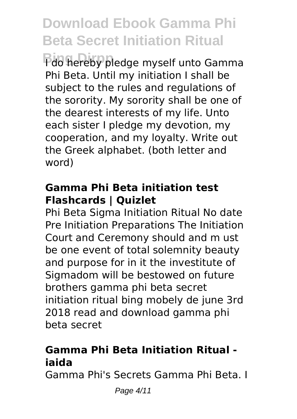Pdo hereby pledge myself unto Gamma Phi Beta. Until my initiation I shall be subject to the rules and regulations of the sorority. My sorority shall be one of the dearest interests of my life. Unto each sister I pledge my devotion, my cooperation, and my loyalty. Write out the Greek alphabet. (both letter and word)

## **Gamma Phi Beta initiation test Flashcards | Quizlet**

Phi Beta Sigma Initiation Ritual No date Pre Initiation Preparations The Initiation Court and Ceremony should and m ust be one event of total solemnity beauty and purpose for in it the investitute of Sigmadom will be bestowed on future brothers gamma phi beta secret initiation ritual bing mobely de june 3rd 2018 read and download gamma phi beta secret

## **Gamma Phi Beta Initiation Ritual iaida**

Gamma Phi's Secrets Gamma Phi Beta. I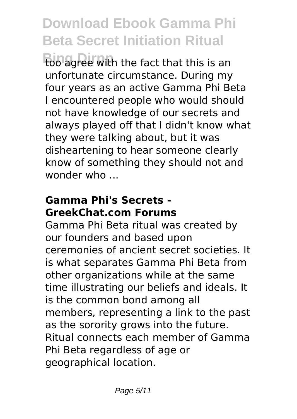**Bing Dirpp** too agree with the fact that this is an unfortunate circumstance. During my four years as an active Gamma Phi Beta I encountered people who would should not have knowledge of our secrets and always played off that I didn't know what they were talking about, but it was disheartening to hear someone clearly know of something they should not and wonder who ...

## **Gamma Phi's Secrets - GreekChat.com Forums**

Gamma Phi Beta ritual was created by our founders and based upon ceremonies of ancient secret societies. It is what separates Gamma Phi Beta from other organizations while at the same time illustrating our beliefs and ideals. It is the common bond among all members, representing a link to the past as the sorority grows into the future. Ritual connects each member of Gamma Phi Beta regardless of age or geographical location.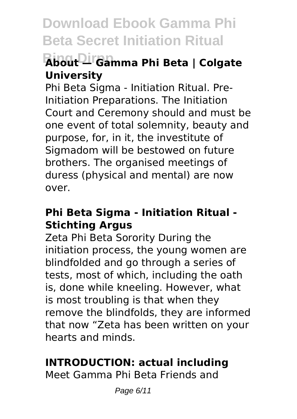## **Bing Dirpp About — Gamma Phi Beta | Colgate University**

Phi Beta Sigma - Initiation Ritual. Pre-Initiation Preparations. The Initiation Court and Ceremony should and must be one event of total solemnity, beauty and purpose, for, in it, the investitute of Sigmadom will be bestowed on future brothers. The organised meetings of duress (physical and mental) are now over.

## **Phi Beta Sigma - Initiation Ritual - Stichting Argus**

Zeta Phi Beta Sorority During the initiation process, the young women are blindfolded and go through a series of tests, most of which, including the oath is, done while kneeling. However, what is most troubling is that when they remove the blindfolds, they are informed that now "Zeta has been written on your hearts and minds.

## **INTRODUCTION: actual including**

Meet Gamma Phi Beta Friends and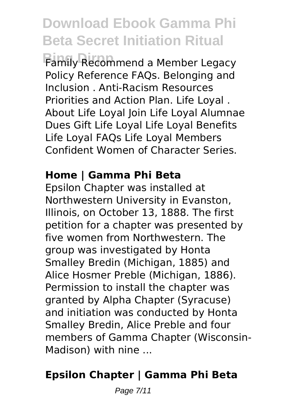**Bing Dirpp** Family Recommend a Member Legacy Policy Reference FAQs. Belonging and Inclusion . Anti-Racism Resources Priorities and Action Plan. Life Loyal . About Life Loyal Join Life Loyal Alumnae Dues Gift Life Loyal Life Loyal Benefits Life Loyal FAQs Life Loyal Members Confident Women of Character Series.

## **Home | Gamma Phi Beta**

Epsilon Chapter was installed at Northwestern University in Evanston, Illinois, on October 13, 1888. The first petition for a chapter was presented by five women from Northwestern. The group was investigated by Honta Smalley Bredin (Michigan, 1885) and Alice Hosmer Preble (Michigan, 1886). Permission to install the chapter was granted by Alpha Chapter (Syracuse) and initiation was conducted by Honta Smalley Bredin, Alice Preble and four members of Gamma Chapter (Wisconsin-Madison) with nine ...

## **Epsilon Chapter | Gamma Phi Beta**

Page 7/11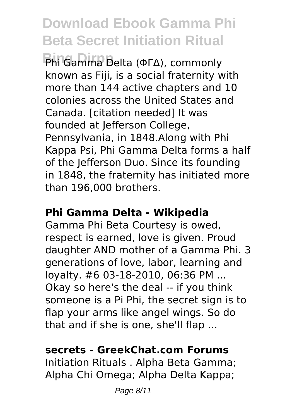**Bing Dirpp** Phi Gamma Delta (ΦΓΔ), commonly known as Fiji, is a social fraternity with more than 144 active chapters and 10 colonies across the United States and Canada. [citation needed] It was founded at Jefferson College, Pennsylvania, in 1848.Along with Phi Kappa Psi, Phi Gamma Delta forms a half of the Jefferson Duo. Since its founding in 1848, the fraternity has initiated more than 196,000 brothers.

#### **Phi Gamma Delta - Wikipedia**

Gamma Phi Beta Courtesy is owed, respect is earned, love is given. Proud daughter AND mother of a Gamma Phi. 3 generations of love, labor, learning and loyalty. #6 03-18-2010, 06:36 PM ... Okay so here's the deal -- if you think someone is a Pi Phi, the secret sign is to flap your arms like angel wings. So do that and if she is one, she'll flap ...

#### **secrets - GreekChat.com Forums**

Initiation Rituals . Alpha Beta Gamma; Alpha Chi Omega; Alpha Delta Kappa;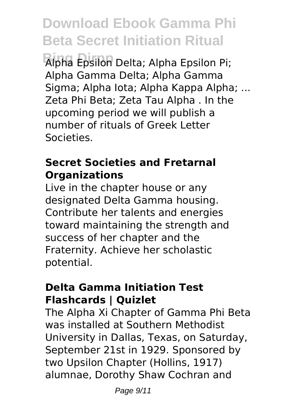**Bing Dirpp** Alpha Epsilon Delta; Alpha Epsilon Pi; Alpha Gamma Delta; Alpha Gamma Sigma; Alpha Iota; Alpha Kappa Alpha; ... Zeta Phi Beta; Zeta Tau Alpha . In the upcoming period we will publish a number of rituals of Greek Letter Societies.

## **Secret Societies and Fretarnal Organizations**

Live in the chapter house or any designated Delta Gamma housing. Contribute her talents and energies toward maintaining the strength and success of her chapter and the Fraternity. Achieve her scholastic potential.

#### **Delta Gamma Initiation Test Flashcards | Quizlet**

The Alpha Xi Chapter of Gamma Phi Beta was installed at Southern Methodist University in Dallas, Texas, on Saturday, September 21st in 1929. Sponsored by two Upsilon Chapter (Hollins, 1917) alumnae, Dorothy Shaw Cochran and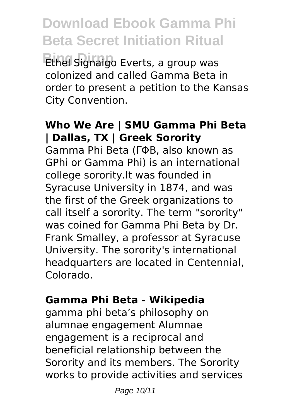**Download Ebook Gamma Phi Beta Secret Initiation Ritual Bing Dirpp** Ethel Signaigo Everts, a group was colonized and called Gamma Beta in order to present a petition to the Kansas City Convention.

## **Who We Are | SMU Gamma Phi Beta | Dallas, TX | Greek Sorority**

Gamma Phi Beta (ΓΦΒ, also known as GPhi or Gamma Phi) is an international college sorority.It was founded in Syracuse University in 1874, and was the first of the Greek organizations to call itself a sorority. The term "sorority" was coined for Gamma Phi Beta by Dr. Frank Smalley, a professor at Syracuse University. The sorority's international headquarters are located in Centennial, Colorado.

#### **Gamma Phi Beta - Wikipedia**

gamma phi beta's philosophy on alumnae engagement Alumnae engagement is a reciprocal and beneficial relationship between the Sorority and its members. The Sorority works to provide activities and services